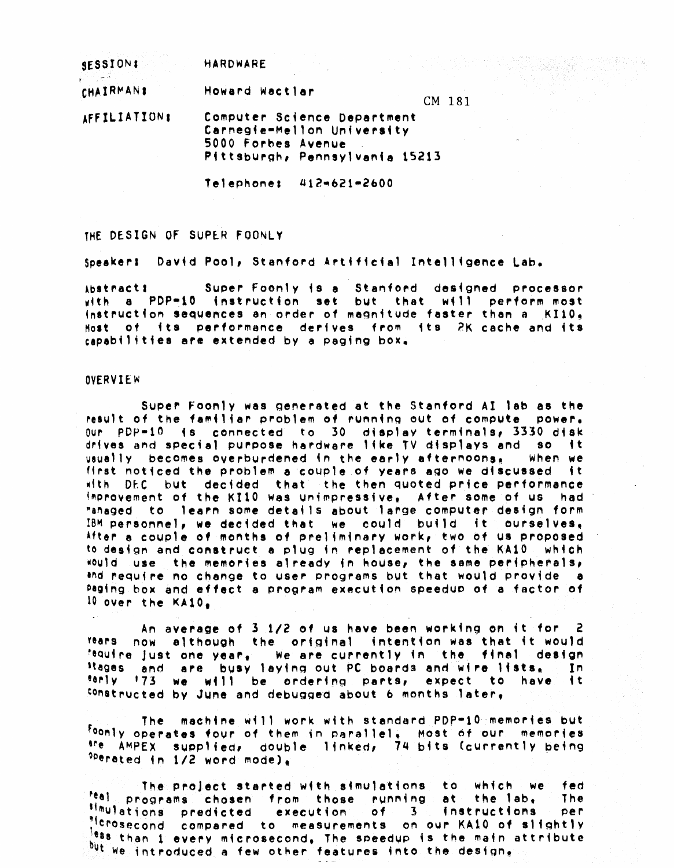| SESSION:         | HARDWARE                                                                                                          |     |            |  |
|------------------|-------------------------------------------------------------------------------------------------------------------|-----|------------|--|
| <b>CHAIRMANS</b> | Howard Wactlar                                                                                                    | CM. | <b>181</b> |  |
| AFFILIATIONS     | Computer Science Department<br>Carnegie-Mellon University<br>5000 Forbes Avenue<br>Pittsburgh, Pennsylvania 15213 |     |            |  |

Telephone: 412-621-2600

THE DESIGN OF SUPER FOONLY

speaker: David Pool, Stanford Artificial Intelligence Lab.

Abstract: Super Foonly is a Stanford designed processor with a PDP-10 instruction set but that will perform most instruction sequences an order of magnitude faster than a KI10, Host of its performance derives from its 2K cache and its capabilities are extended by a paging box.

### **OVERVIEW**

Super Foonly was generated at the Stanford AI lab as the result of the familiar problem of running out of compute DOWAT.  $0$ ur PDP=10 is connected to 30 display terminals, 3330 disk drives and special purpose hardware like TV displays and so it vaually becomes overburdened in the early afternoons, when we first noticed the problem a couple of years ago we discussed it with DEC but decided that the then quoted price performance improvement of the KI10 was unimpressive, After some of us had "anaged to learn some details about lange computer design form IBM personnel, we decided that we could build it ourselves, After a couple of months of preliminary work, two of us proposed to design and construct a plug in replacement of the KA10. which would use the memories already in house, the same peripherals, thd require no change to user programs but that would provide a Paging box and effect a program execution speedup of a factor of 10 over the  $KAI0<sub>e</sub>$ 

An average of 3.1/2 of us have been working on it for 2 now although the original intention was that it would **Years** fequine just one year, we are currently in the final design Hages and are busy laying out PC boards and wire lists, In. もも constructed by June and debugged about 6 months later,

The machine will work with standard PDP-10 memories but <sup>Foonly</sup> operates four of them in parallel, Most of our memories <sup>sne</sup> AMPEX supplied, double linked, 74 bits (currently being <sup>opera</sup>ted in 1/2 word mode),

fed The project started with simulations, to which we <sup>teal</sup> programs chosen from those running  $\bullet$  t the lab. The simulations predicted execution of  $3<sub>1</sub>$ instructions per "<sup>1</sup>crosecond measurements on our KA10 of slightly compared to ess than 1 every microsecond, The speedup is the main attribute but we introduced a few other features into the design.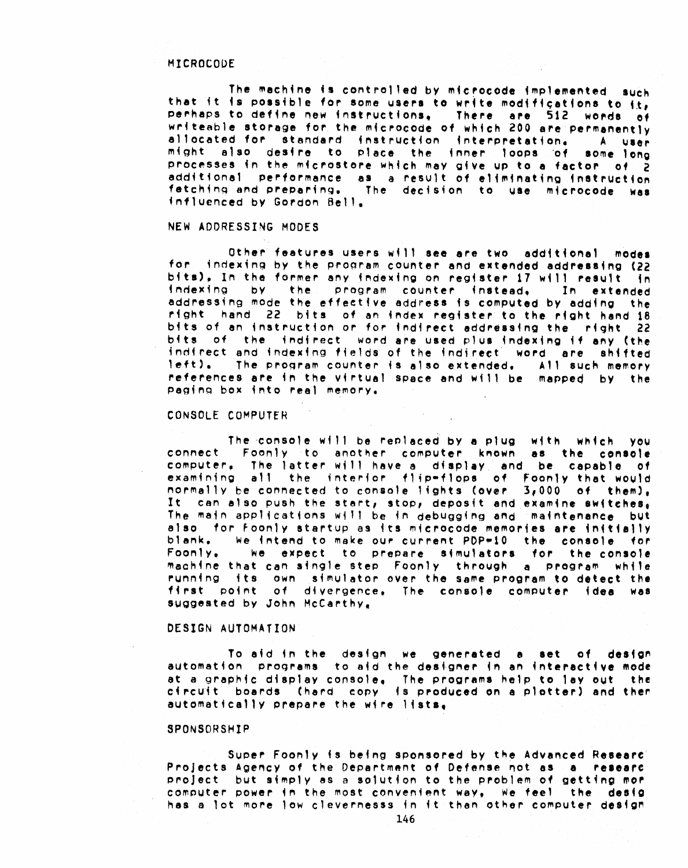#### MICROCODE

The machine is controlled by microcode implemented such that it is possible for some users to write modifications to it, perhaps to define new instructions, There are 512 words of writeable storage for the microcode of which 200 are permanently allocated for standard instruction interpretation. A user might also desire to place the inner loops of some long processes in the microstore which may give up to a factor of 2 additional performance as a result of eliminating instruction fetching and preparing. The decision to use microcode was influenced by Gordon Bell.

# NEW ADDRESSING MODES

Other features users will see are two additional modes for indexing by the program counter and extended addressing (22) bits), In the former any indexing on register 17 will result in indexing by the program counter instead, In extended addressing mode the effective address is computed by adding the right hand 22 bits of an index register to the right hand 18 bits of an instruction or for indirect addressing the right 22 bits of the indirect word are used plus indexing if any (the indirect and indexing fields of the indirect word are shifted  $left$ . The program counter is also extended, All such memory references are in the virtual space and will be mapped by the paging box into real memory.

#### CONSOLE COMPUTER

The console will be replaced by a plug with which you connect Foonly to another computer known as the console. computer. The latter will have a display and be capable of examining all the interior flip-flops of Foonly that would normally be connected to console lights (over 3,000 of them), It can also push the start, stop, deposit and examine switches, The main applications will be in debugging and maintenance but also for Foonly startup as its microcode memories are initially blank. We intend to make our current PDP=10 the console for Foonly. we expect to prepare simulators for the console machine that can single step. Foonly, through a program, while running its own simulator over the same program to detect the first point of divergence, The console computer idea was suggested by John McCarthy.

### DESIGN AUTOMATION

To aid in the design we generated a set of design automation programs to aid the designer in an interactive mode at a graphic display console, The programs help to lay out the<br>circuit boards (hard copy is produced on a plotter) and then automatically prepare the wire lists.

#### SPONSORSHIP

Super Foonly is being sponsored by the Advanced Researc' Projects Agency of the Department of Defense not as a researc project but simply as a solution to the problem of getting mor computer power in the most convenient way, We feel the desig has a lot more low clevernesss in it than other computer design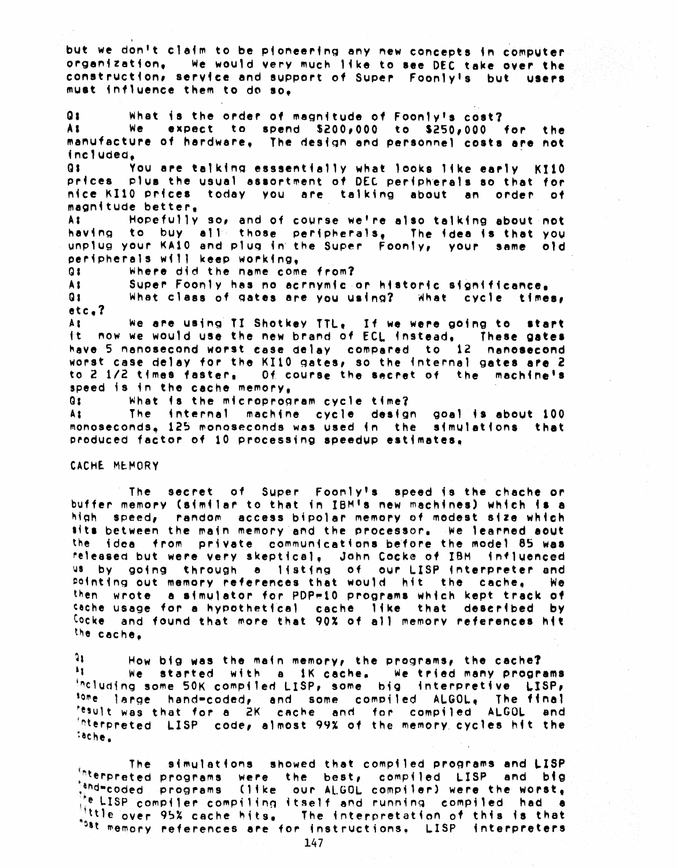but we don't claim to be pioneering any new concepts in computer organization. We would very much like to see DEC take over the construction, service and support of Super Foonly's but users must influence them to do so.

 $\mathbf{Q}$ What is the order of magnitude of Foonly's cost? We expect to spend  $$200,000$  to  $$250,000$  for the A E manufacture of hardware, The design and personnel costs are not included.  $Q<sub>3</sub>$ You are talking esssentially what looks like early KI10 prices plus the usual assortment of DEC peripherals so that for nice KI10 prices today you are talking about an order of

magnitude better, Hopefully so, and of course we're also talking about not A S having to buy all those peripherals, The idea is that you unplug your KA10 and plug in the Super Foonly, your same old peripherals will keep working.

Q S Where did the name come from?

Super Foonly has no acrnymic or historic significance. A S **Q 1** What class of gates are you using? What cycle times,  $etc.7$ 

We are using TI Shotkey TTL, If we were going to start A t it now we would use the new brand of ECL instead, These gates have 5 nanosecond worst case delay compared to 12 nanosecond worst case delay for the KI10 gates, so the internal gates are 2 to 2 1/2 times faster, 0f course the secret of the machine's speed is in the cache memory.

 $Q_{\text{S}}$ What is the microprogram cycle time?

As i The internal machine cycle design goal is about 100 monoseconds, 125 monoseconds was used in the simulations that produced factor of 10 processing speedup estimates,

#### CACHE MEMORY

The secret of Super Foonly's speed is the chache or buffer memory (similar to that in IBM's new machines) which is a high speed, random access bipolar memory of modest size which sits between the main memory and the processor. We learned aout the idea from private communications before the model 85 was released but were very skeptical, John Cocke of IBM influenced us by going through a listing of our LISP interpreter and pointing out memory references that would hit the cache, **We** then wrote a simulator for PDP-10 programs which kept track of sache usage for a hypothetical cache. Iike that described by Cocke and found that more that 90% of all memory references hit the cache.

91. How big was the main memory, the programs, the cache?  $\mathbf{A}$ We started with a iK cache. We tried many programs including some 50K compiled LISP, some big interpretive LISP, <sup>some</sup> large hand-coded, and some compiled ALGOL, The final<br><sup>tesult</sup> was that for a 2K cache and for compiled ALGOL and interpreted LISP code, almost 99% of the memory cycles hit the sache.

The l simulations showed that compiled programs and LISP Interpreted programs were the best, compiled LISP and big tend=coded programs (like our ALGOL compiler) were the worst, the LISP compiler compiling itself and running compiled had a Ittle over 95% cache hits. The interpretation of this is that "bat memory references are for instructions. LISP interpreters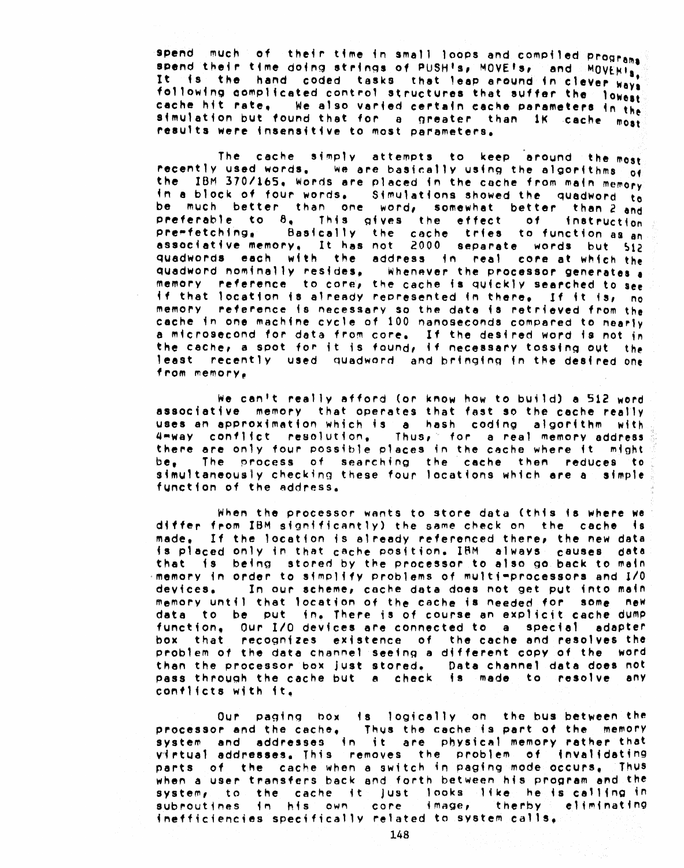spend  $m$ uch of their time in small loops and compiled programs spend their time doing strings of PUSH's, MOVE's, and MOVENIS, It fs the hand coded tasks that leap around in clever ways following complicated control structures that suffer the lowest cache hit rate. We also varied certain cache parameters in the simulation but found that for a greater than 1K cache most results were insensitive to most parameters.

The cache simply attempts to keep around the most recently used words. We are basically using the algorithms  $\frac{1}{100}$ the IBM 370/165. Words are placed in the cache from main memory in a block of four words. Simulations showed the quadword to be much better than one word, somewhat better than 2 and preferable to  $\theta_0$ . This gives the effect of instruction pre~fetching, Basicallv the cache tries to function as an associative memory, It has not 2000 separate words but 512 quadwords each with the address in real core at which the quadword nominally resides, Whenever the processor generates a memory reference to core, the cache is quickly searched to see if that location is already represented in there. If it is, no memory reference 4s necesSary so the data fa retrieved from the cache in one machine cycle of 100 nanoseconds compared to nearly a microsecond for data from core. If the desired word is not in the cache, a spot for it is found, if necessary tossing out the least recently used quadword, and bringing in the desired one from memory,

We can't really afford (or know how to bu;ld) a 512 word associative memory that operates that fast so the cache really uses an approximation which is a hash coding algorithm with. 4~way conflict resolution, Thus,· for a real memory address there are only four possible places in the cache where it  $m$ ight be. The process of searching the cache then reduces to simultaneously checking these four locations which are a simple function of the address.

When the processor wants to store data (this is where we differ from IBM significantly) the same check on the cache is made, If the location is already referenced there, the new data is placed only in that cache position. IBM always causes data that is being stored by the processor to also go back to main  $\cdot$ memory in order to simplify problems of multi-processors and I/O devices. In our scheme, cache data does not get put into main memory until that location of the cache is needed for some new data to be put in. There is of course an explicit cache dump function, Our 1/0 devices are connected to a speciel adapter box that recognizes existence of the cache and resolves the problem of the data channel seeing a different copy of the word then the processor box just stored. Data channel data does not pass through the cache but a check is made to resolve any conflicts with  $it_{\bullet}$ 

Our paging box is logically on the bus between the processor and the cache, Thus the cache is part of the memory system and addresses in it are physical memory rather that virtual addresses. This removes the problem of 4MV814dat4ng parts of the cache when a switch in paging mode occurs. Thus when a user transfers back and forth between h4s program and the system, to the cache it just looks like he is calling in subroutines in his own core image, therby eliminating  $i$ nefficiencies specifically related to system calls,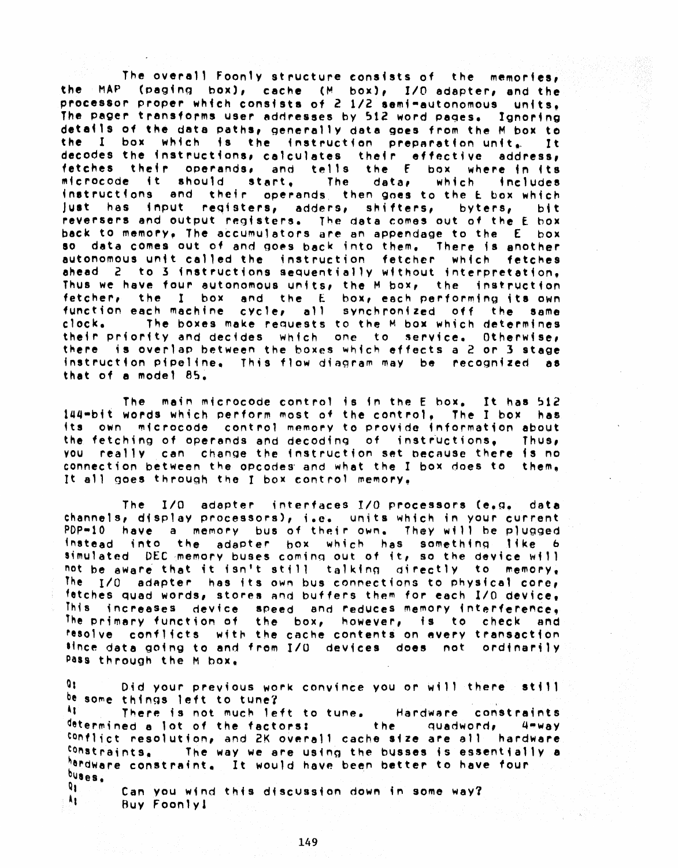The overall Foonly structure consists of the memories, the MAP (paging box), cache (M box), I/O adapter, and the processor proper which consists of 2 1/2 semi-autonomous units. The pager transforms user addresses by 512 word pages. Ignoring details of the data paths, generally data goes from the M box to the I box which is the instruction preparation unit, It decodes the instructions, calculates their effective address, fetches their operands, and tells the E box where in its microcode it should start. The data, which includes instructions and their operands then goes to the E box which just has input registers, adders, shifters, byters, **bit** reversers and output registers. The data comes out of the E box back to memory, The accumulators are an appendage to the E box so data comes out of and goes back into them. There is another autonomous unit called the instruction fetcher which fetches ahead  $\ge$  to 3 instructions sequentially without interpretation, Thus we have four autonomous units, the M box, the instruction fetcher, the I box and the E box, each performing its own function each machine cycle, all synchronized off the same The boxes make requests to the M box which determines  $clock<sub>o</sub>$ their priority and decides which one to service. Otherwise, there is overlap between the boxes which effects a 2 or 3 stage instruction pipeline, This flow diagram may be recognized as that of a model 85.

The main microcode control is in the E box. It has 512 144-bit words which perform most of the control, The I box has its own microcode control memory to provide information about the fetching of operands and decoding of instructions. Thus, you really can change the instruction set because there is no connection between the opcodes and what the I box does to them. It all goes through the I box control memory.

The I/O adapter interfaces I/O processors (e.g. data channels, display processors), i.e. units which in your current  $PDP = 10$  have a memory bus of their own. They will be plugged instead into the adapter hox which has something like 6 simulated. DEC memory buses coming out of it, so the device will not be aware that it isn't still talking directly to memory. The  $I/O$  adapter has its own bus connections to physical core, fatches quad words, stores and buffers them for each I/O device. This increases device speed and reduces memory interference. The primary function of the box, however, is to check and resolve conflicts with the cache contents on every transaction tince data going to and from I/O devices does not ordinarily Pass through the M box.

**Q** 1 Did your previous work convince you or will there still be some things left to tune? April There is not much left to tune. Hardware constraints determined a lot of the factors: the quadword,  $4$  $M$   $M$   $a$   $V$ conflict resolution, and 2K overall cache size are all hardware constraints. The way we are using the busses is essentially a hardware constraint, It would have been better to have four  $0$ uses. श∶

Can you wind this discussion down in some way? Ăŧ. Buy Foonly!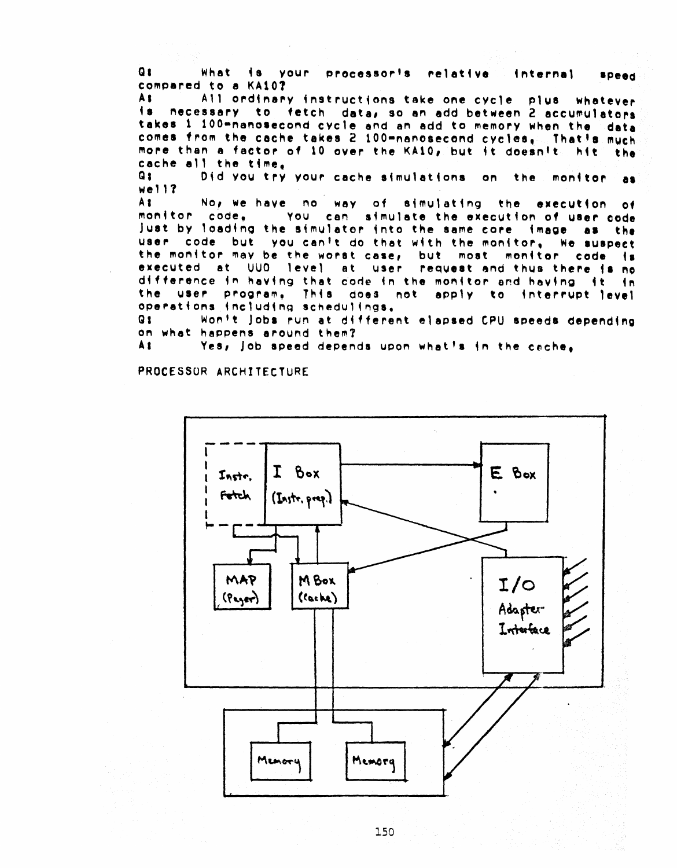Q I What is your processor's relative internal **Speed** compared to a KA107

A B All ordinary instructions take one cycle plus whatever  $\bullet$ necessary to fetch data, so an add between 2 accumulators takes 1 100-nanosecond cycle and an add to memory when the data comes from the cache takes 2 100-nanosecond cycles. That's much more than a factor of 10 over the KA10, but it doesnit. hit the cache all the time.

 $Q_{1}$ Did you try your cache simulations on the monitor a s  $well12$ 

A<sub>t</sub> No, we have no way of simulating the execution of monitor code, You can simulate the execution of user code just by loading the simulator into the same core image as the user code but you can't do that with the monitor, We suspect the monitor may be the worst case, but most monitor code is executed at UUO level at user request and thus there is no difference in having that code in the monitor and having it in the user program. This does not apply to interrupt level operations including schedulings.

Won't jobs run at different elapsed CPU speeds depending Q 1 on what happens around them?

A t Yes, job speed depends upon what's in the cache.

PROCESSOR ARCHITECTURE

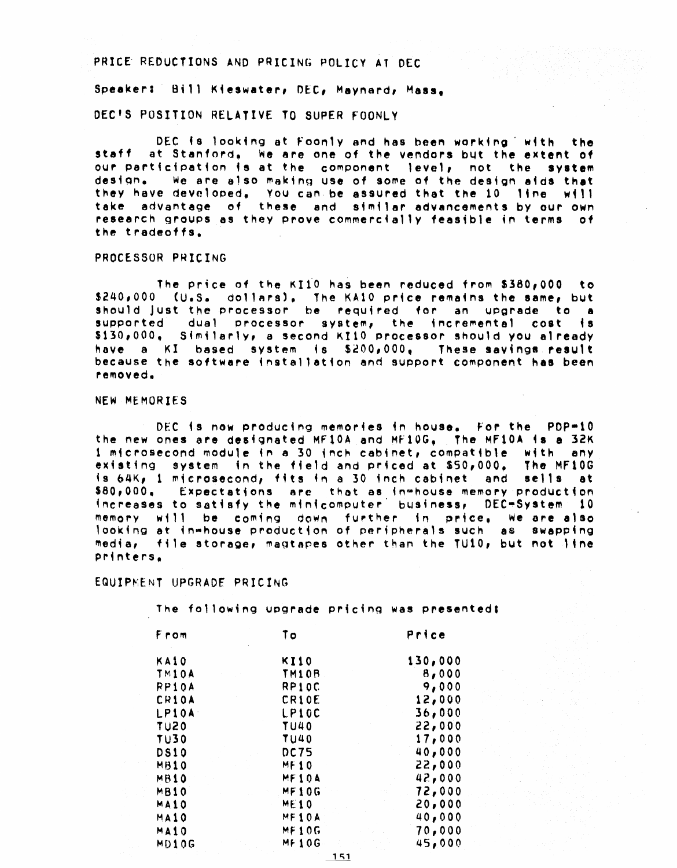### PRICE REDUCTIONS AND PRICING POLICY AT DEC

Speaker: Bill Kieswater, DEC, Maynard, Mass. DEC'S POSITION RELATIVE TO SUPER FOONLY

DEC is looking at Foonly and has been working with the staff at Stanford, we are one of the vendors but the extent of our participation is at the component level, not the system design. We are also making use of some of the design aids that they have developed. You can be assured that the 10 line will take advantage of these and similar advancements by our own research groups as they prove commercially feasible in terms of the tradeoffs.

#### PROCESSOR PRICING

The price of the KI10 has been reduced from \$380,000 to \$240,000 (U.S. dollars). The KA10 price remains the same, but<br>should just the processor be required for an upgrade to a supported dual processor system, the incremental cost is  $$130,000$ , Similarly, a second KI10 processor should you already have a KI based system is \$200,000, These sayings result because the software installation and support component has been removed.

#### NEW MEMORIES

DEC is now producing memories in house. For the PDP=10 the new ones are designated MF10A and MF10G, The MF10A is a 32K 1 microsecond module in a 30 inch cabinet, compatible with any existing system in the field and priced at \$50,000. The MF10G is 64K, 1 microsecond, fits in a 30 inch cabinet and sells at  $$80,000.$ Expectations are that as in house memory production increases to satisfy the minicomputer business, DEC-System 10 memory will be coming down further in price, we are also looking at in-house production of peripherals such as swapping media, file storage, magtapes other than the TU10, but not line printers.

## EQUIPMENT UPGRADE PRICING

The following upgrade pricing was presented:

| From         | To           | Price   |
|--------------|--------------|---------|
| KA10         | <b>KI10</b>  | 130,000 |
| TM10A        | TM10B        | 8,000   |
| RP10A        | RP10C        | 9,000   |
| <b>CR10A</b> | CR10E        | 12,000  |
| LP10A        | LP10C        | 36,000  |
| <b>TU20</b>  | <b>TU40</b>  | 22,000  |
| <b>TU30</b>  | TU40         | 17,000  |
| <b>DS10</b>  | <b>DC75</b>  | 40,000  |
| MB10         | <b>MF10</b>  | 22,000  |
| MB10         | MF10A        | 42,000  |
| MB10         | MF10G        | 72,000  |
| MA10         | <b>ME10</b>  | 20,000  |
| MA10         | MF10A        | 40,000  |
| MAIO         | MF10G        | 70,000  |
| MD10G        | <b>MF10G</b> | 45,000  |

 $151$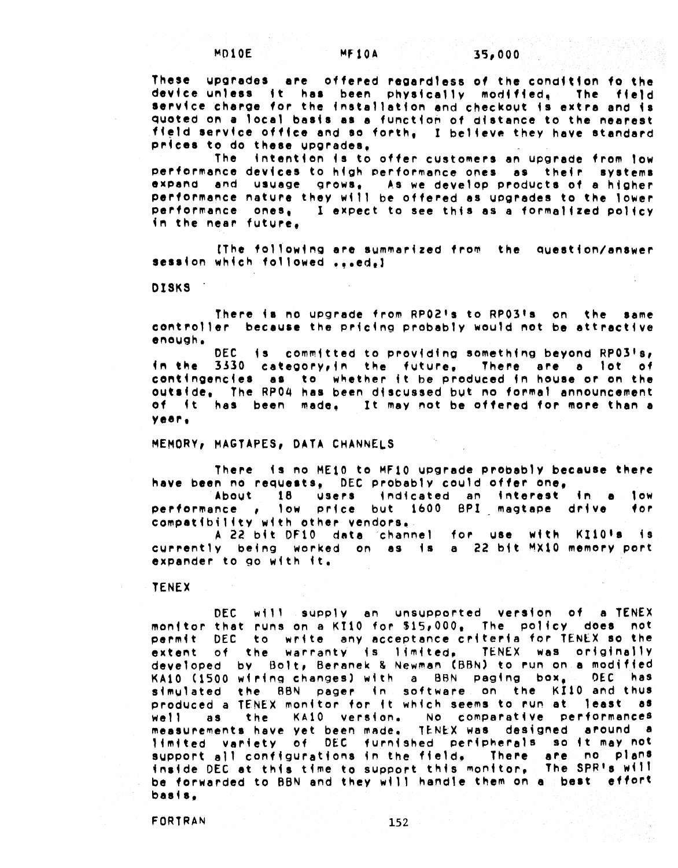These upgrades are offered regardless of the condition fo the device unless it has been physically modified, The field service charge for the installation and checkout is extra and is quoted on a local basis as a function of distance to the nearest field service office and so forth, I believe they have standard prices to do these upgrades.

The intention is to offer customers an upgrade from low performance devices to high performance ones as their systems expand and usuage grows, As we develop products of a higher performance nature they will be offered as upgrades to the lower performance ones, I expect to see this as a formalized policy in the near future.

IThe following are summarized from the question/answer session which followed ...ed.)

DISKS 1

There is no upgrade from RP02's to RP03's on the same controller because the pricing probably would not be attractive enough.

DEC is committed to providing something beyond RP03's, in the 3330 category, in the future, There are a lot of contingencies as to whether it be produced in house or on the outside, The RP04 has been discussed but no formal announcement of it has been made. It may not be offered for more than a year.

MEMORY, MAGTAPES, DATA CHANNELS

There is no ME10 to MF10 upgrade probably because there have been no requests, DEC probably could offer one,

About 18 users indicated an interest in a low performance , low price but 1600 BPI magtape drive for. compatibility with other vendors.

A 22 bit DF10 data 'channel for use with KI101s is currently being worked on as is a 22 bit MX10 memory port expander to go with it.

**TENEX** 

DEC will supply an unsupported version of a TENEX monitor that runs on a KI10 for \$15,000. The policy does not permit DEC to write any acceptance criteria for TENEX so the extent of the warranty is limited, TENEX was originally developed by Bolt, Beranek & Newman (BBN) to run on a modified KA10 (1500 wiring changes) with a BBN paging box, DEC has simulated the BBN pager in software on the KI10 and thus produced a TENEX monitor for it which seems to run at least as the KA10 version. No comparative performances  $We$ <sup>1</sup> as measurements have yet been made, TENEX was designed around a limited variety of DEC furnished peripherals so it may not support all configurations in the field, There are no plans inside DEC at this time to support this monitor. The SPR's will be forwarded to BBN and they will handle them on a pest effort  $basis<sub>e</sub>$ 

FORTRAN